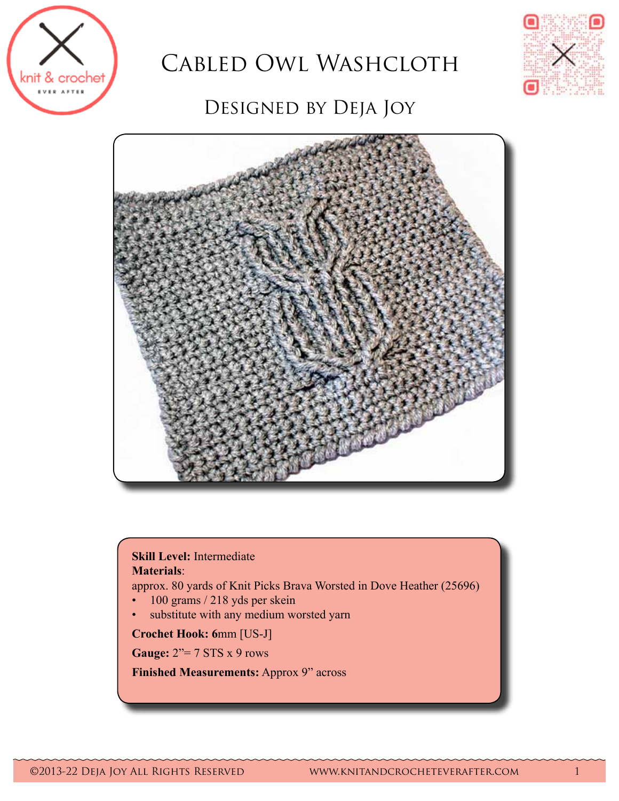

# Cabled Owl Washcloth



# DESIGNED BY DEJA JOY



#### **Skill Level:** Intermediate **Materials**:

approx. 80 yards of Knit Picks Brava Worsted in Dove Heather (25696)

- 100 grams / 218 yds per skein
- • substitute with any medium worsted yarn

**Crochet Hook: 6**mm [US-J]

**Gauge:** 2"= 7 STS x 9 rows

**Finished Measurements:** Approx 9" across